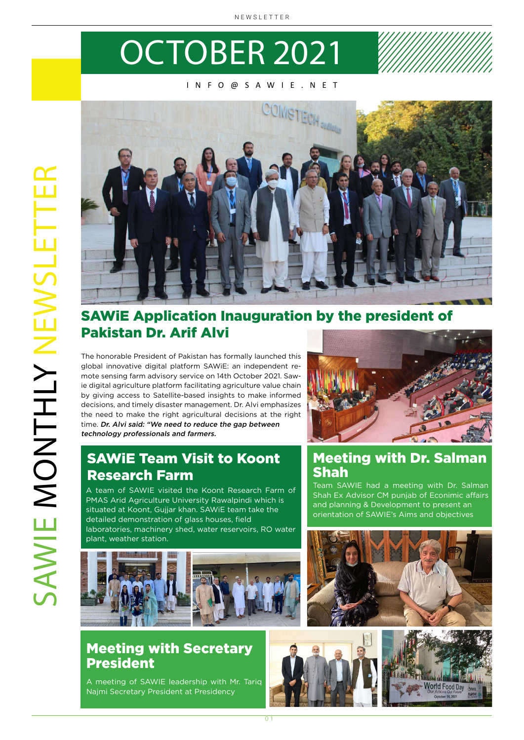## OCTOBER 2021

#### INFO@SAWIE.NET



#### SAWiE Application Inauguration by the president of Pakistan Dr. Arif Alvi

The honorable President of Pakistan has formally launched this global innovative digital platform SAWiE: an independent remote sensing farm advisory service on 14th October 2021. Sawie digital agriculture platform facilitating agriculture value chain by giving access to Satellite-based insights to make informed decisions, and timely disaster management. Dr. Alvi emphasizes the need to make the right agricultural decisions at the right time. Dr. Alvi said: "We need to reduce the gap between technology professionals and farmers.



#### Meeting with Dr. Salman Shah

Team SAWIE had a meeting with Dr. Salman Shah Ex Advisor CM punjab of Econimic affairs and planning & Development to present an orientation of SAWIE's Aims and objectives







SAWiE Team Visit to Koont Research Farm

A team of SAWIE visited the Koont Research Farm of PMAS Arid Agriculture University Rawalpindi which is situated at Koont, Gujjar khan. SAWiE team take the detailed demonstration of glass houses, field laboratories, machinery shed, water reservoirs, RO water plant, weather station.



#### Meeting with Secretary President

A meeting of SAWIE leadership with Mr. Tariq Najmi Secretary President at Presidency